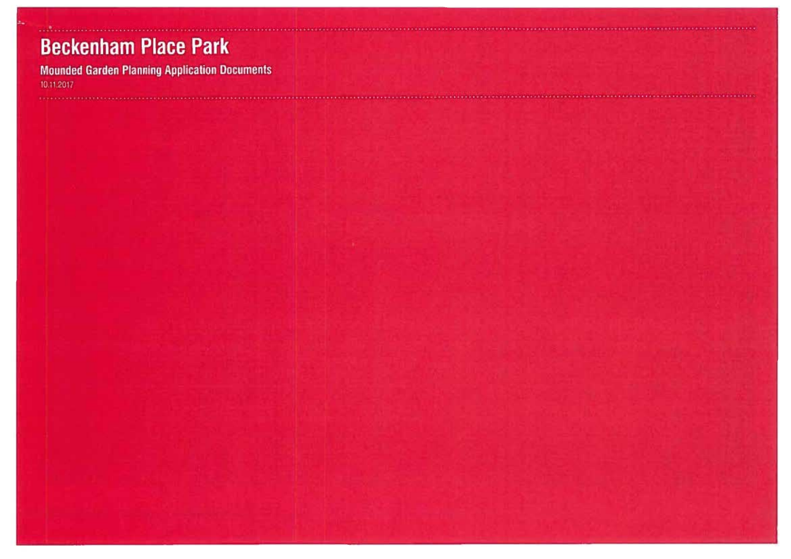# **Beckenham Place Park**

**The concerning and** 

**Mounded Garden Planning Application Documents** 10.11.2017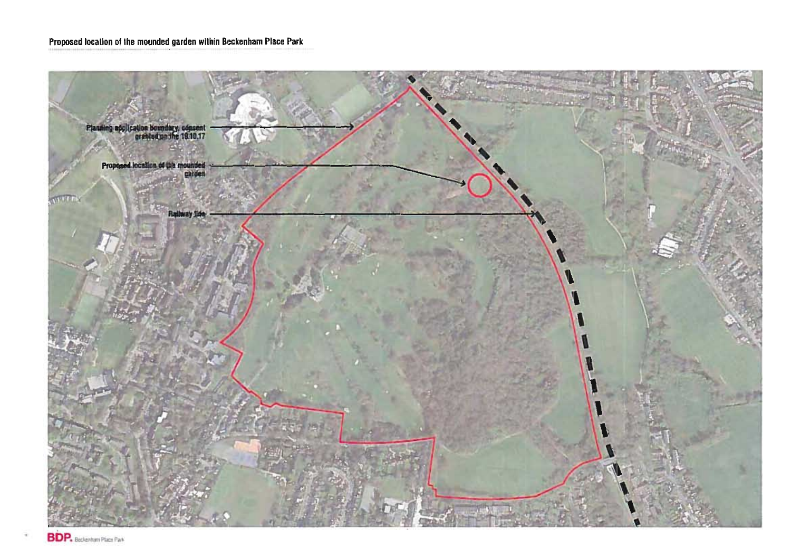## Proposed location of the mounded garden within Beckenham Place Park



**R**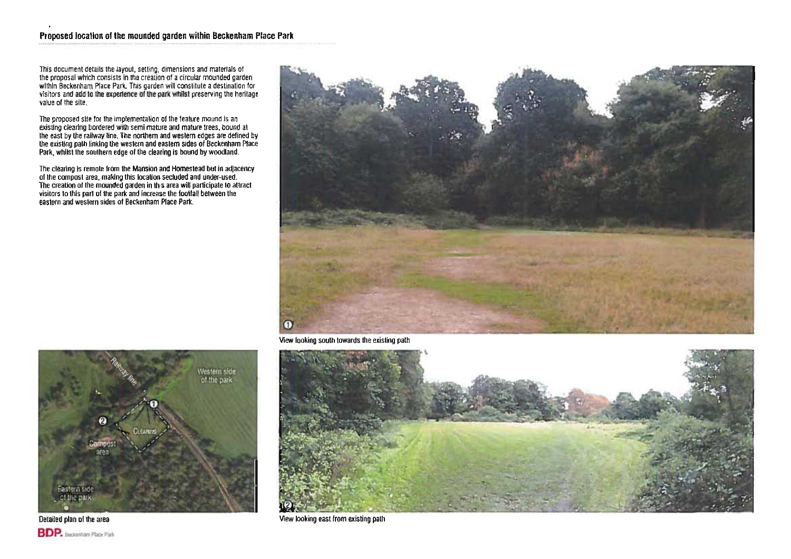This document details the layout, setting, dimensions and materials of the proposal which consists in the creation of a circular mounded garden within Beckenham Place Park. This garden will constitute a destination for visitors and add to the experience of the park whilst preserving the heritage value of the site.

The proposed site for the implementation of the feature mound is an existing clearing bordered with semi mature and mature trees, bound at Ihe east by the railway tine, The northern and western edges are defined by the existing path Inking the western and eastern sides of Beckenham Place Park, whilst the soulhern edge of the clearing Is bound by woodland.

The clearing is remote from the Mansion and Homestead but in adjacency of the compost area, making this location secluded and under-used.<br>The creation of the mounded garden in th<sub>i</sub>s area will participate to attract visitors 10 Ihis part of Ihe pari< and increase the fooifal belween the easlern and weslern sides of Beckenham Place Pari<,



View looking soulh towards Ihe existing path



View looking east from existing path



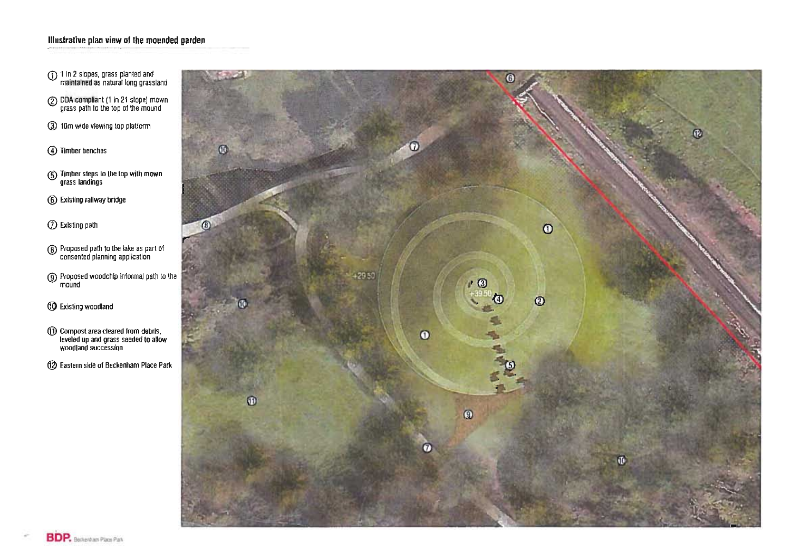#### **illustrative ptan view <sup>0</sup>' the mounded garden**

- 1 in 2 slopes, grass planted and maintained as natural long grassland
- (2) DDA compliant (1 in 21 slope) mown grass palh 10 the top 01 the mound
- @ IOm wide viewing top platform
- G> TImber benches
- (द) Timber steps to the top with mown grass landings
- (6) Existing railway bridge
- (7) Existing path
- **(B)** Proposed path to the lake as part of consented planning application
- ® Proposed woodchip inlormal path 10 Ihe moond
- @ Exisling woodland
- **...**<br>In Compost area cleared from debris,<br>leveled up and grass seeded to allow **woodland succession**
- (12) Eastern side of Beckenham Place Park

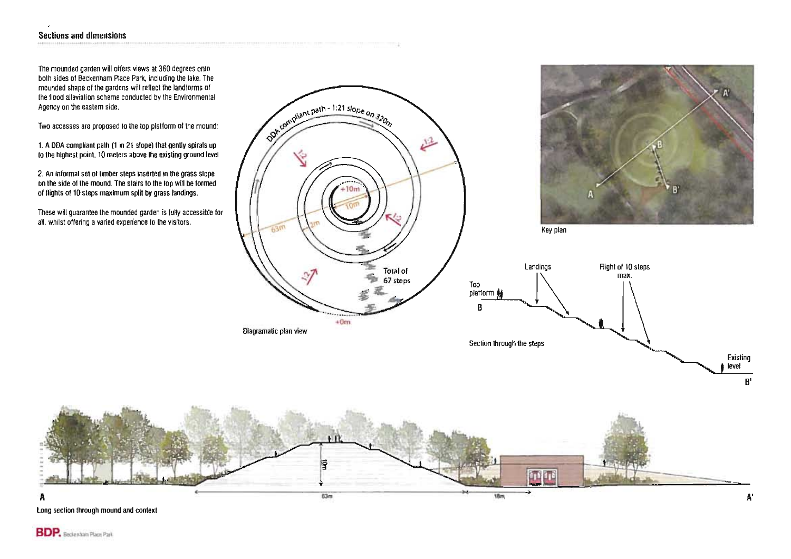#### **Sections and dimensions**

The mounded garden will offers views at 360 degrees onto bolh sides of Beckenham Place Park, including the lake. The mounded shape of the gardens will reflect the landforms of the flood alleviation scheme conducted by the Environmental Agency on the eastern side.

Two accesses are proposed to the top platform of the mound:

1. A DDA compliant path (t in 2t slope) that gently spirals up to the highest point, 10 meters above the existing ground level

2. An informal sel of timber steps inserted in the grass slope on the side of the mound. The stairs to the top will be formed of flights of 10 steps maximum split by grass landings.

**These will guarantee the mounded garden is fully accessible for**  all, whilst offenng a vaned expenenee to the visitors.



A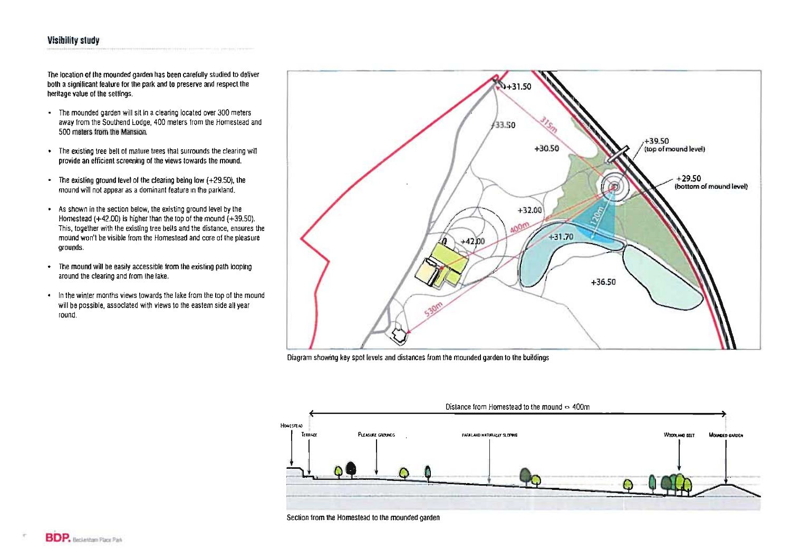The location of the mounded garden has been carefully studied to deliver both a significant feature for the park and to preserve and respect the heritage value of the settings.

- The mounded garden will sit in a clearing located over 300 meters away from the Southend Lodge, 400 meters from the Homestead and 500 meters from the Mansion
- The existing tree belt of mature trees that surrounds the clearing will **provide an efficient screening of the views towards the mound.**
- The existing ground level of the clearing being low (+29.50), the mound will not appear as a dominant feature In the parkland.
- As shown in the section below, the existing ground level by the Homestead (+42.00) is higher than the top of the mound (+39.50). This, together with the existing tree belts and the distance, ensures the mound won't be visible from the Homestead and core of the pleasure grounds.
- The mound will be easily accessible from the existing path looping around the clearing and from the lake.
- . In the winter months views towards the lake from the top of the mound will be possible, associated with views to the eastem side all year round.



Diagram showing key spot levels and distances from the mounded garden to the buildings



Section from the Homestead to the mounded garden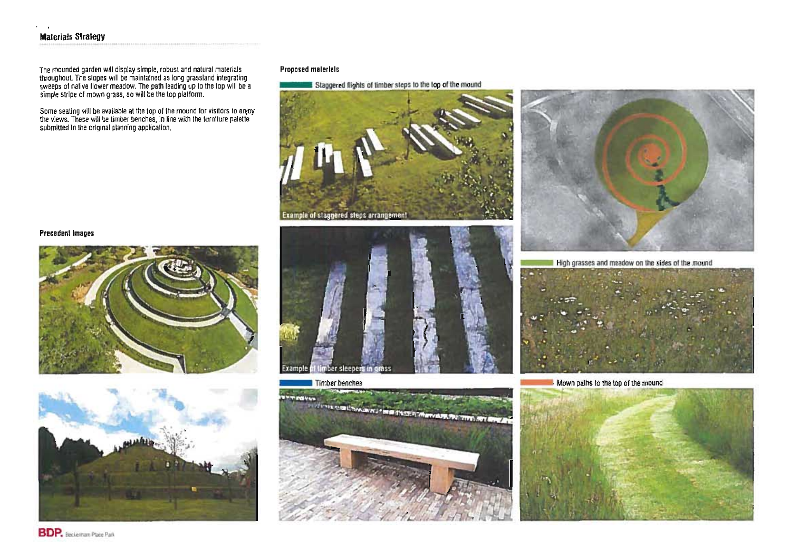#### **Materials Strategy**

The mounded garden will display simple, robust and natural materials<br>throughout. The slopes will be maintained as long grassland integrating sweeps of native flower meadow. The path leading up to the top will be a simple stripe 01 mown grass, so will be the top platform.

Some sealing will be available at the top 01 the moond Ior visitors to enjoy the views. These will be timber benches, in line with thelumiture palette submitted In the original planning application.

#### Precedent Images





#### Proposed materials







Timber benches





High grasses and meadow on the sides of the mound



Mown paths to the top of the mound

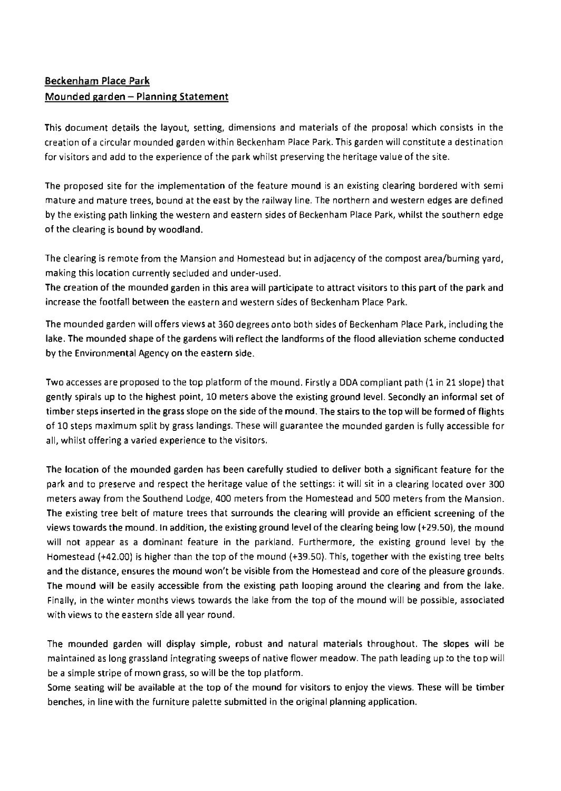# **Beckenham Place Park Mounded garden - Planning Statement**

This document details the layout, setting, dimensions and materials of the proposal which consists in the creation of a circular mounded garden within Beckenham Place Park. This garden will constitute a destination for visitors and add to the experience of the park whilst preserving the heritage value of the site.

The proposed site for the implementation of the feature mound is an existing clearing bordered with semi mature and mature trees, bound at the east by the railway line. The northern and western edges are defined by the existing path linking the western and eastern sides of Beckenham Place Park, whilst the southern edge of the clearing is bound by woodland.

The clearing is remote from the Mansion and Homestead but in adjacency of the compost area/burning yard, making this location currently secluded and under-used.

The creation of the mounded garden in this area will participate to attract visitors to this part of the park and increase the footfall between the eastern and western sides of Beckenham Place Park.

The mounded garden will offers views at 360 degrees onto both sides of Beckenham Place Park, including the lake. The mounded shape of the gardens will reflect the landforms of the flood alleviation scheme conducted by the Environmental Agency on the eastern side.

Two accesses are proposed to the top platform of the mound. Firstly a DDA compliant path (1 in 21 slope) that gently spirals up to the highest point, 10 meters above the existing ground level. Secondly an informal set of timber steps inserted in the grass slope on the side of the mound. The stairs to the top will be formed of flights of 10 steps maximum split by grass landings. These will guarantee the mounded garden is fully accessible for all, whilst offering a varied experience to the visitors.

The location of the mounded garden has been carefully studied to deliver both a Significant feature for the park and to preserve and respect the heritage value of the settings: it will sit in a clearing located over 300 meters away from the Southend Lodge, 400 meters from the Homestead and 500 meters from the Mansion. The existing tree belt of mature trees that surrounds the clearing will provide an efficient screening of the views towards the mound. In addition, the existing ground level of the clearing being low (+29.50), the mound will not appear as a dominant feature in the parkland. Furthermore, the existing ground level by the Homestead (+42.00) is higher than the top of the mound (+39.50). This, together with the existing tree belts and the distance, ensures the mound won't be visible from the Homestead and core of the pleasure grounds. The mound will be easily accessible from the existing path looping around the clearing and from the lake. Finally, in the winter months views towards the lake from the top of the mound will be possible, associated with views to the eastern side all year round.

The mounded garden will display simple, robust and natural materials throughout. The slopes will be maintained as long grassland integrating sweeps of native flower meadow. The path leading up to the top will be a simple stripe of mown grass, so will be the top platform.

Some seating will be available at the top of the mound for visitors to enjoy the views. These will be timber benches, in line with the furniture palette submitted in the original planning application.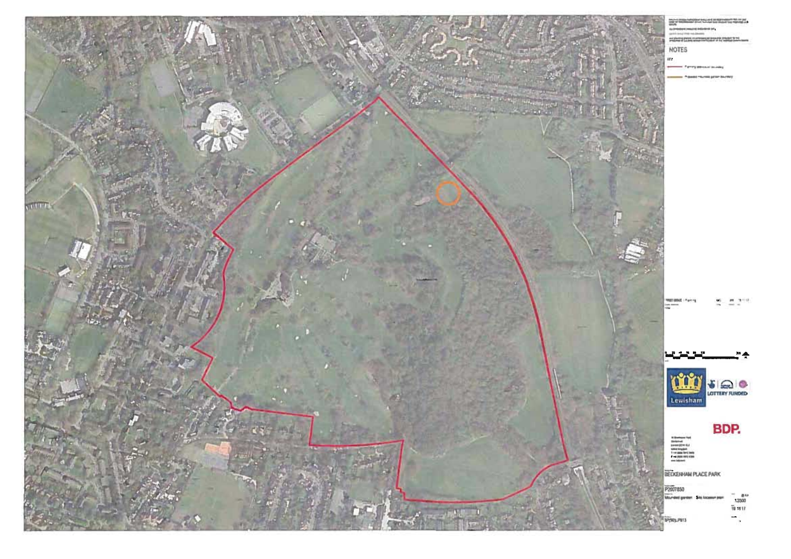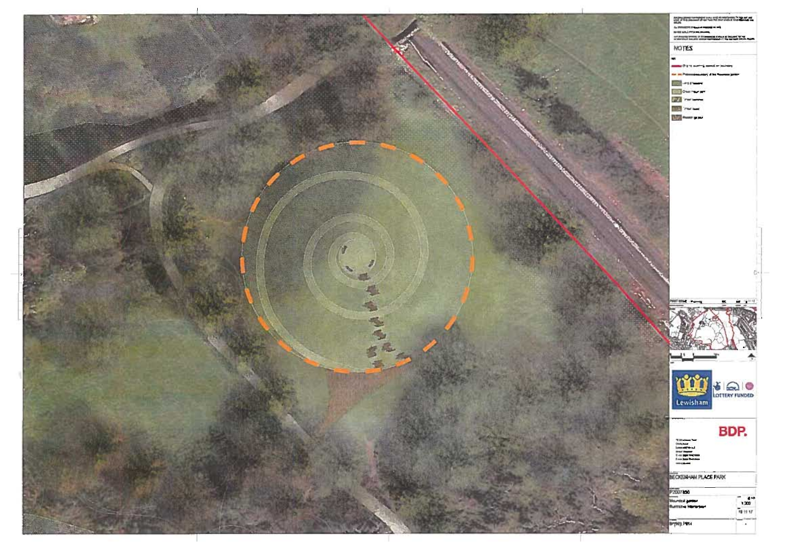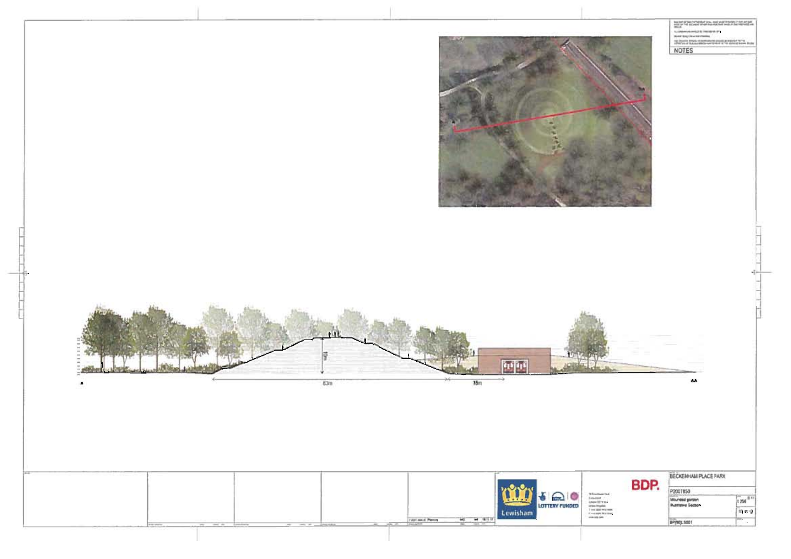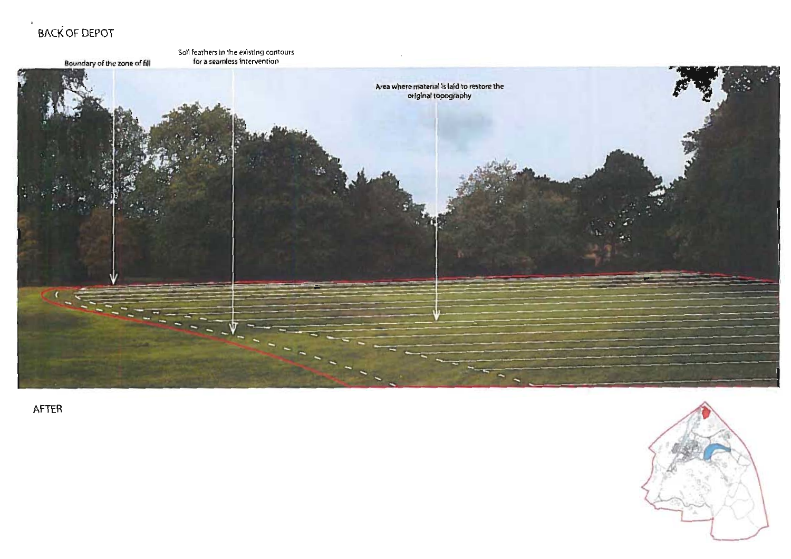# **BACK OF DEPOT**



**AFTER** 

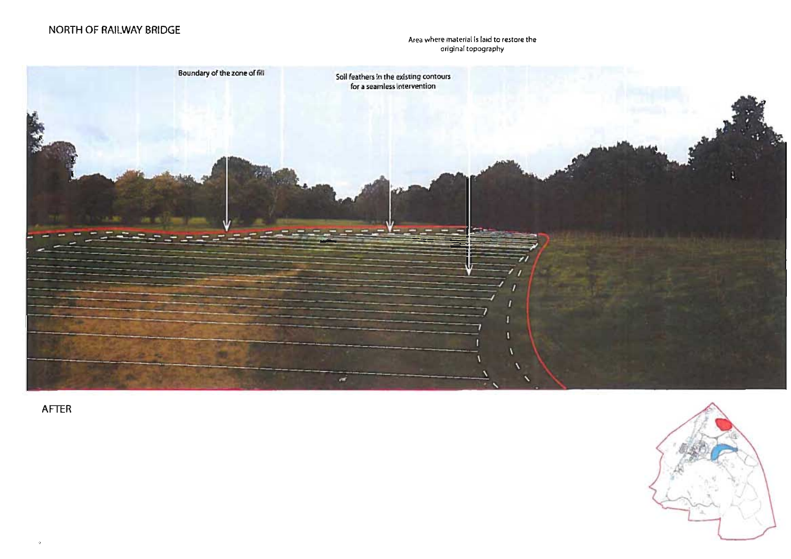## NORTH OF RAILWAY BRIDGE

#### **Area whefe material is laid to restore the original topography**



AFTER

 $\phi$ 

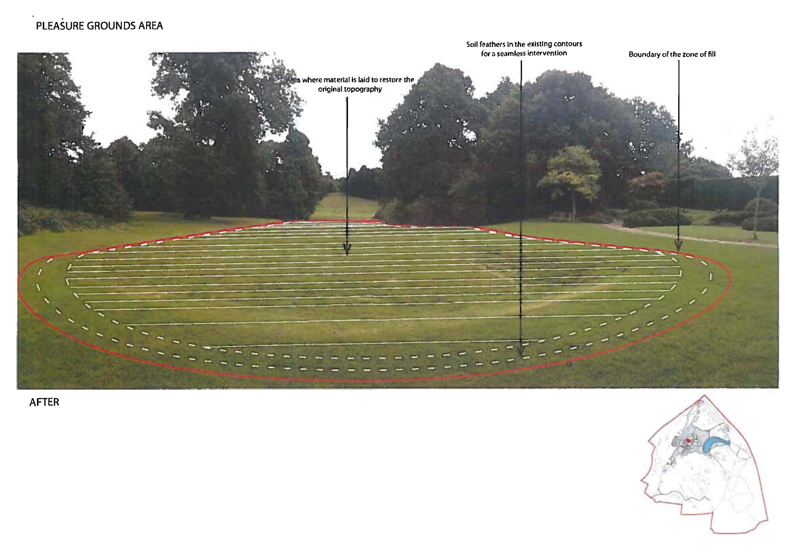

AFTER

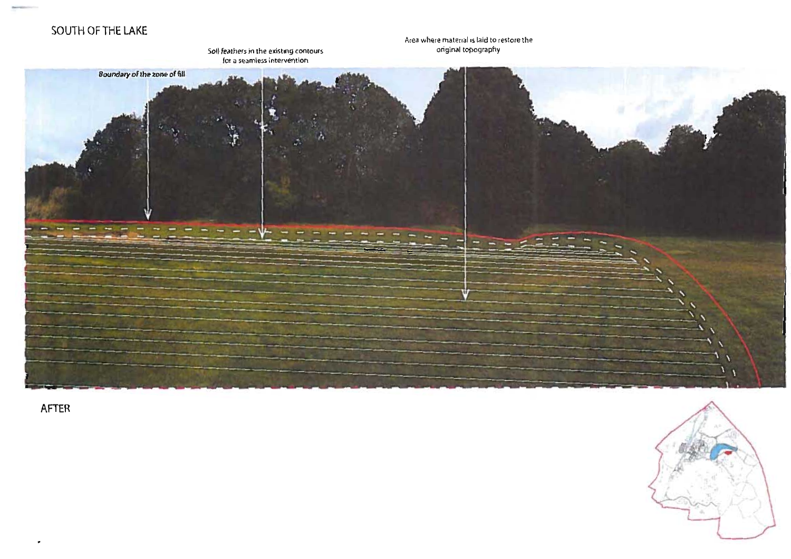# SOUTH OFTHE LAKE

Area where material is laid to restore the<br>original topography

**for a seamless intervention** 



AFTER

 $\bullet$